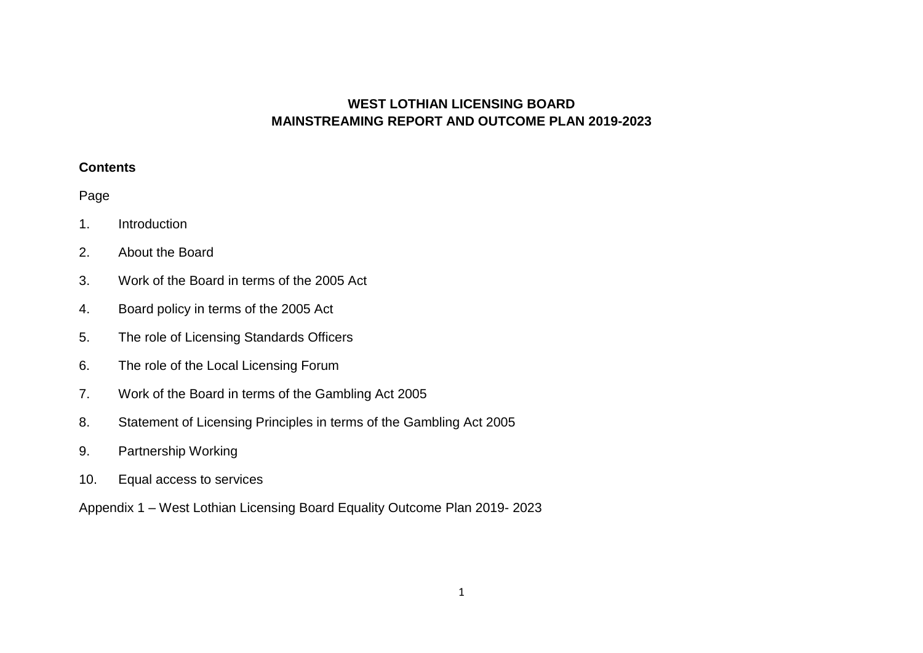# **WEST LOTHIAN LICENSING BOARD MAINSTREAMING REPORT AND OUTCOME PLAN 2019-2023**

#### **Contents**

# Page

- 1. Introduction
- 2. About the Board
- 3. Work of the Board in terms of the 2005 Act
- 4. Board policy in terms of the 2005 Act
- 5. The role of Licensing Standards Officers
- 6. The role of the Local Licensing Forum
- 7. Work of the Board in terms of the Gambling Act 2005
- 8. Statement of Licensing Principles in terms of the Gambling Act 2005
- 9. Partnership Working
- 10. Equal access to services
- Appendix 1 West Lothian Licensing Board Equality Outcome Plan 2019- 2023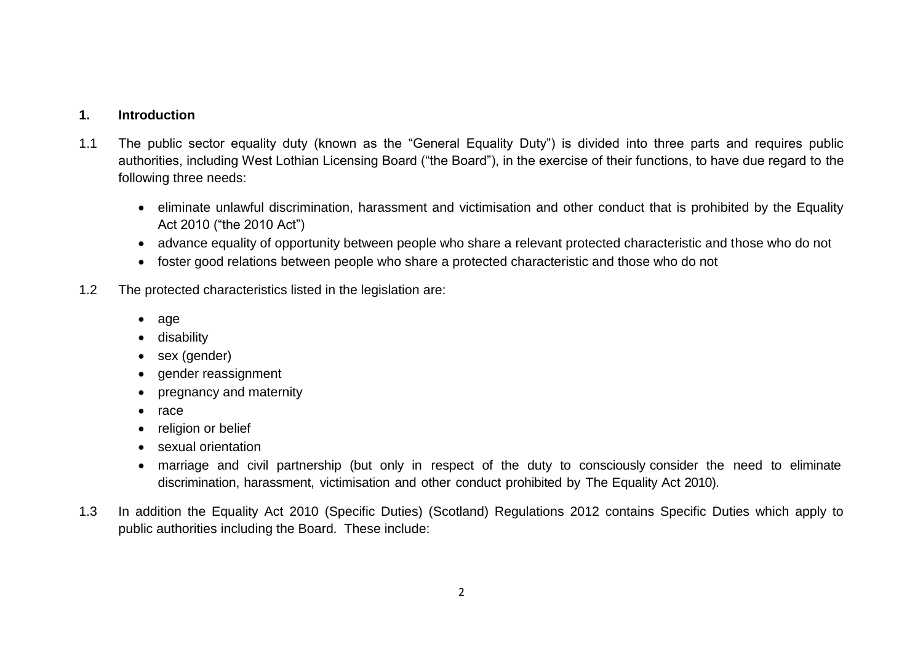#### **1. Introduction**

- 1.1 The public sector equality duty (known as the "General Equality Duty") is divided into three parts and requires public authorities, including West Lothian Licensing Board ("the Board"), in the exercise of their functions, to have due regard to the following three needs:
	- eliminate unlawful discrimination, harassment and victimisation and other conduct that is prohibited by the Equality Act 2010 ("the 2010 Act")
	- advance equality of opportunity between people who share a relevant protected characteristic and those who do not
	- foster good relations between people who share a protected characteristic and those who do not
- 1.2 The protected characteristics listed in the legislation are:
	- age
	- **•** disability
	- sex (gender)
	- gender reassignment
	- pregnancy and maternity
	- $\bullet$  race
	- religion or belief
	- sexual orientation
	- marriage and civil partnership (but only in respect of the duty to consciously consider the need to eliminate discrimination, harassment, victimisation and other conduct prohibited by The Equality Act 2010).
- 1.3 In addition the Equality Act 2010 (Specific Duties) (Scotland) Regulations 2012 contains Specific Duties which apply to public authorities including the Board. These include: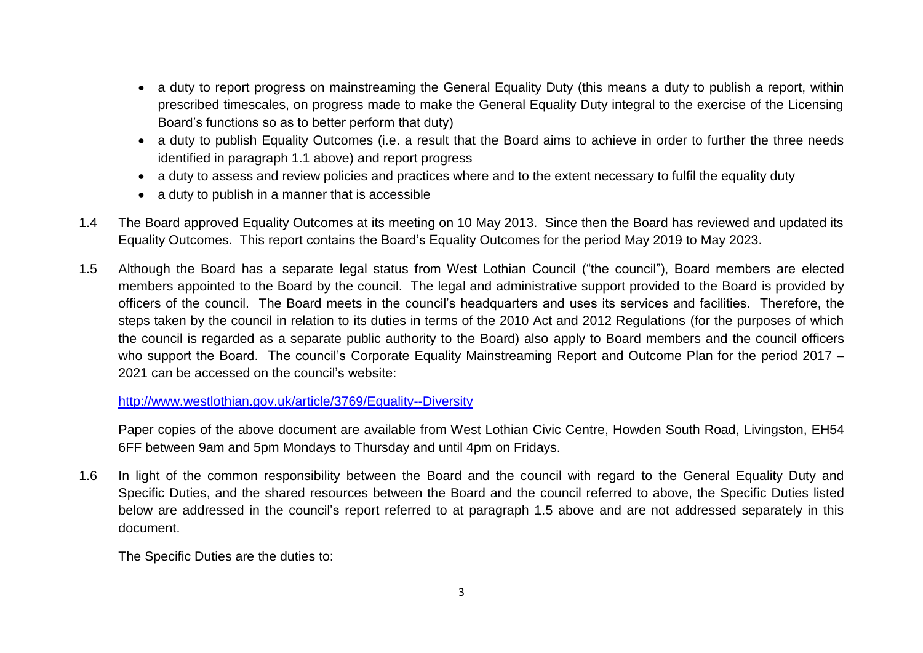- a duty to report progress on mainstreaming the General Equality Duty (this means a duty to publish a report, within prescribed timescales, on progress made to make the General Equality Duty integral to the exercise of the Licensing Board's functions so as to better perform that duty)
- a duty to publish Equality Outcomes (i.e. a result that the Board aims to achieve in order to further the three needs identified in paragraph 1.1 above) and report progress
- a duty to assess and review policies and practices where and to the extent necessary to fulfil the equality duty
- a duty to publish in a manner that is accessible
- 1.4 The Board approved Equality Outcomes at its meeting on 10 May 2013. Since then the Board has reviewed and updated its Equality Outcomes. This report contains the Board's Equality Outcomes for the period May 2019 to May 2023.
- 1.5 Although the Board has a separate legal status from West Lothian Council ("the council"), Board members are elected members appointed to the Board by the council. The legal and administrative support provided to the Board is provided by officers of the council. The Board meets in the council's headquarters and uses its services and facilities. Therefore, the steps taken by the council in relation to its duties in terms of the 2010 Act and 2012 Regulations (for the purposes of which the council is regarded as a separate public authority to the Board) also apply to Board members and the council officers who support the Board. The council's Corporate Equality Mainstreaming Report and Outcome Plan for the period 2017 – 2021 can be accessed on the council's website:

<http://www.westlothian.gov.uk/article/3769/Equality--Diversity>

Paper copies of the above document are available from West Lothian Civic Centre, Howden South Road, Livingston, EH54 6FF between 9am and 5pm Mondays to Thursday and until 4pm on Fridays.

1.6 In light of the common responsibility between the Board and the council with regard to the General Equality Duty and Specific Duties, and the shared resources between the Board and the council referred to above, the Specific Duties listed below are addressed in the council's report referred to at paragraph 1.5 above and are not addressed separately in this document.

The Specific Duties are the duties to: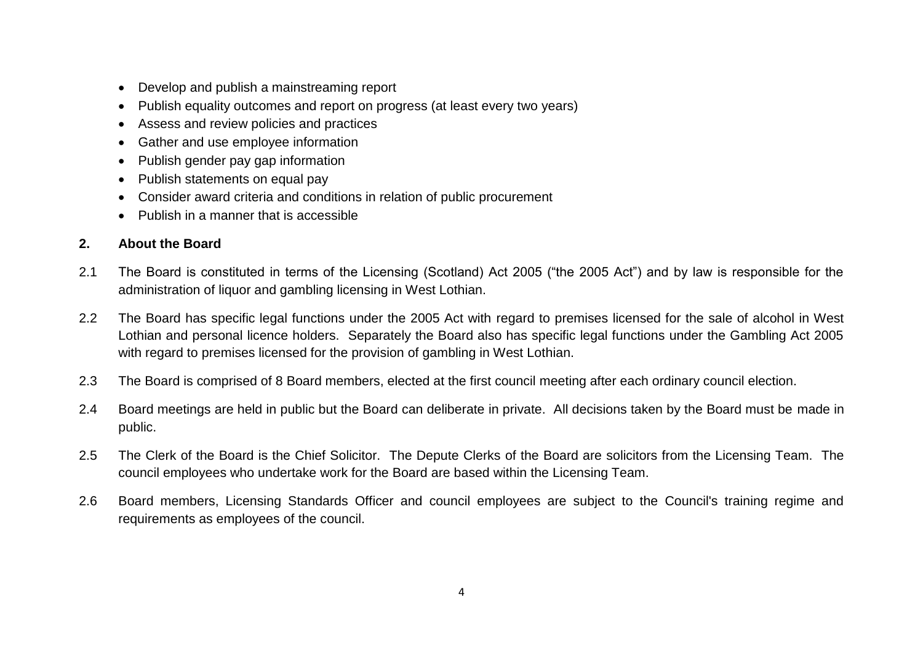- Develop and publish a mainstreaming report
- Publish equality outcomes and report on progress (at least every two years)
- Assess and review policies and practices
- Gather and use employee information
- Publish gender pay gap information
- Publish statements on equal pay
- Consider award criteria and conditions in relation of public procurement
- Publish in a manner that is accessible

# **2. About the Board**

- 2.1 The Board is constituted in terms of the Licensing (Scotland) Act 2005 ("the 2005 Act") and by law is responsible for the administration of liquor and gambling licensing in West Lothian.
- 2.2 The Board has specific legal functions under the 2005 Act with regard to premises licensed for the sale of alcohol in West Lothian and personal licence holders. Separately the Board also has specific legal functions under the Gambling Act 2005 with regard to premises licensed for the provision of gambling in West Lothian.
- 2.3 The Board is comprised of 8 Board members, elected at the first council meeting after each ordinary council election.
- 2.4 Board meetings are held in public but the Board can deliberate in private. All decisions taken by the Board must be made in public.
- 2.5 The Clerk of the Board is the Chief Solicitor. The Depute Clerks of the Board are solicitors from the Licensing Team. The council employees who undertake work for the Board are based within the Licensing Team.
- 2.6 Board members, Licensing Standards Officer and council employees are subject to the Council's training regime and requirements as employees of the council.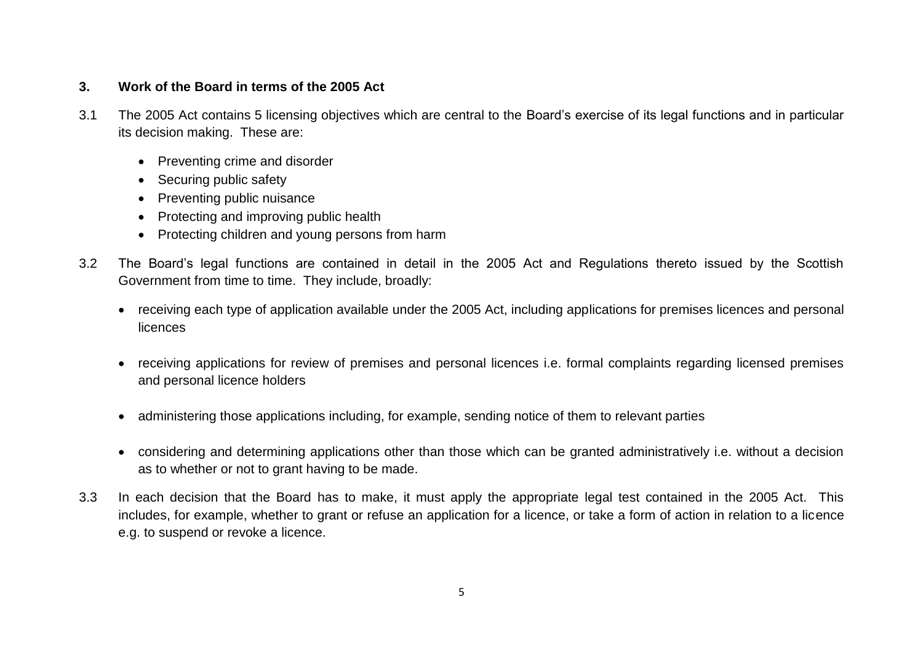# **3. Work of the Board in terms of the 2005 Act**

- 3.1 The 2005 Act contains 5 licensing objectives which are central to the Board's exercise of its legal functions and in particular its decision making. These are:
	- Preventing crime and disorder
	- Securing public safety
	- Preventing public nuisance
	- Protecting and improving public health
	- Protecting children and young persons from harm
- 3.2 The Board's legal functions are contained in detail in the 2005 Act and Regulations thereto issued by the Scottish Government from time to time. They include, broadly:
	- receiving each type of application available under the 2005 Act, including applications for premises licences and personal **licences**
	- receiving applications for review of premises and personal licences i.e. formal complaints regarding licensed premises and personal licence holders
	- administering those applications including, for example, sending notice of them to relevant parties
	- considering and determining applications other than those which can be granted administratively i.e. without a decision as to whether or not to grant having to be made.
- 3.3 In each decision that the Board has to make, it must apply the appropriate legal test contained in the 2005 Act. This includes, for example, whether to grant or refuse an application for a licence, or take a form of action in relation to a licence e.g. to suspend or revoke a licence.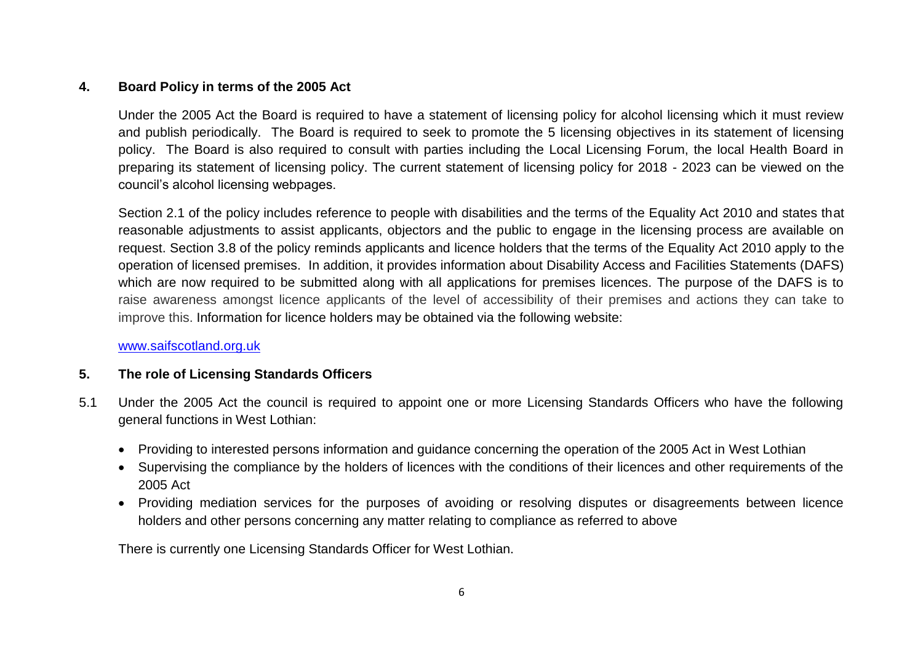# **4. Board Policy in terms of the 2005 Act**

Under the 2005 Act the Board is required to have a statement of licensing policy for alcohol licensing which it must review and publish periodically. The Board is required to seek to promote the 5 licensing objectives in its statement of licensing policy. The Board is also required to consult with parties including the Local Licensing Forum, the local Health Board in preparing its statement of licensing policy. The current statement of licensing policy for 2018 - 2023 can be viewed on the council's alcohol licensing webpages.

Section 2.1 of the policy includes reference to people with disabilities and the terms of the Equality Act 2010 and states that reasonable adjustments to assist applicants, objectors and the public to engage in the licensing process are available on request. Section 3.8 of the policy reminds applicants and licence holders that the terms of the Equality Act 2010 apply to the operation of licensed premises. In addition, it provides information about Disability Access and Facilities Statements (DAFS) which are now required to be submitted along with all applications for premises licences. The purpose of the DAFS is to raise awareness amongst licence applicants of the level of accessibility of their premises and actions they can take to improve this. Information for licence holders may be obtained via the following website:

[www.saifscotland.org.uk](http://www.saifscotland.org.uk/) 

# **5. The role of Licensing Standards Officers**

- 5.1 Under the 2005 Act the council is required to appoint one or more Licensing Standards Officers who have the following general functions in West Lothian:
	- Providing to interested persons information and guidance concerning the operation of the 2005 Act in West Lothian
	- Supervising the compliance by the holders of licences with the conditions of their licences and other requirements of the 2005 Act
	- Providing mediation services for the purposes of avoiding or resolving disputes or disagreements between licence holders and other persons concerning any matter relating to compliance as referred to above

There is currently one Licensing Standards Officer for West Lothian.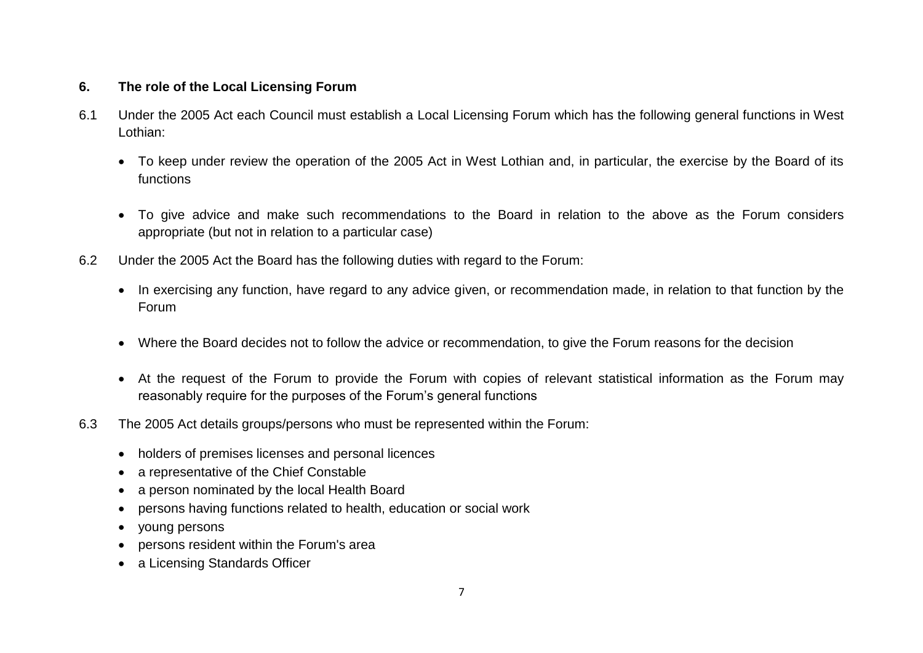# **6. The role of the Local Licensing Forum**

- 6.1 Under the 2005 Act each Council must establish a Local Licensing Forum which has the following general functions in West Lothian:
	- To keep under review the operation of the 2005 Act in West Lothian and, in particular, the exercise by the Board of its functions
	- To give advice and make such recommendations to the Board in relation to the above as the Forum considers appropriate (but not in relation to a particular case)
- 6.2 Under the 2005 Act the Board has the following duties with regard to the Forum:
	- In exercising any function, have regard to any advice given, or recommendation made, in relation to that function by the Forum
	- Where the Board decides not to follow the advice or recommendation, to give the Forum reasons for the decision
	- At the request of the Forum to provide the Forum with copies of relevant statistical information as the Forum may reasonably require for the purposes of the Forum's general functions
- 6.3 The 2005 Act details groups/persons who must be represented within the Forum:
	- holders of premises licenses and personal licences
	- a representative of the Chief Constable
	- a person nominated by the local Health Board
	- persons having functions related to health, education or social work
	- young persons
	- persons resident within the Forum's area
	- a Licensing Standards Officer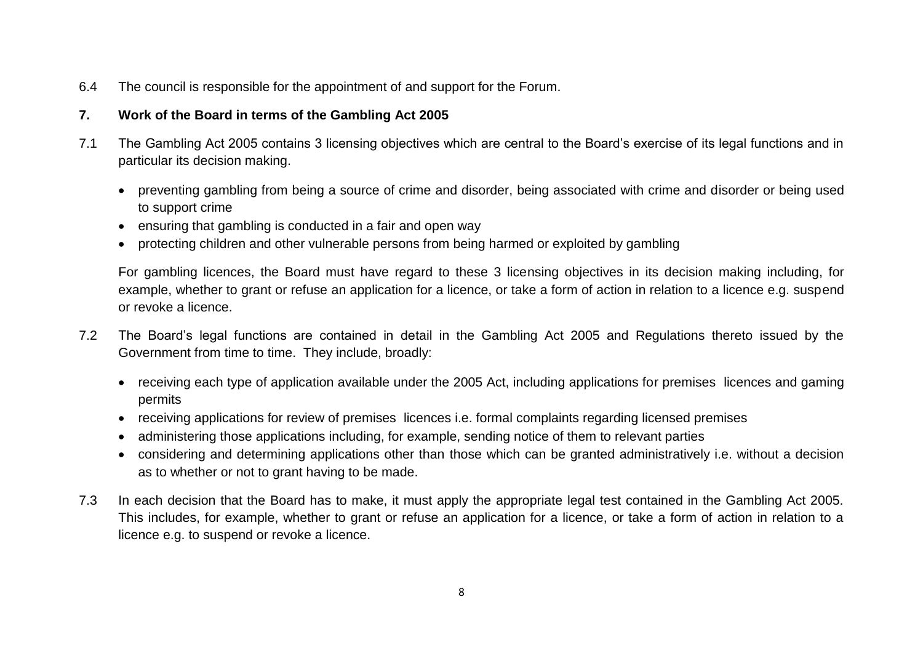6.4 The council is responsible for the appointment of and support for the Forum.

# **7. Work of the Board in terms of the Gambling Act 2005**

- 7.1 The Gambling Act 2005 contains 3 licensing objectives which are central to the Board's exercise of its legal functions and in particular its decision making.
	- preventing gambling from being a source of crime and disorder, being associated with crime and disorder or being used to support crime
	- ensuring that gambling is conducted in a fair and open way
	- protecting children and other vulnerable persons from being harmed or exploited by gambling

For gambling licences, the Board must have regard to these 3 licensing objectives in its decision making including, for example, whether to grant or refuse an application for a licence, or take a form of action in relation to a licence e.g. suspend or revoke a licence.

- 7.2 The Board's legal functions are contained in detail in the Gambling Act 2005 and Regulations thereto issued by the Government from time to time. They include, broadly:
	- receiving each type of application available under the 2005 Act, including applications for premises licences and gaming permits
	- receiving applications for review of premises licences i.e. formal complaints regarding licensed premises
	- administering those applications including, for example, sending notice of them to relevant parties
	- considering and determining applications other than those which can be granted administratively i.e. without a decision as to whether or not to grant having to be made.
- 7.3 In each decision that the Board has to make, it must apply the appropriate legal test contained in the Gambling Act 2005. This includes, for example, whether to grant or refuse an application for a licence, or take a form of action in relation to a licence e.g. to suspend or revoke a licence.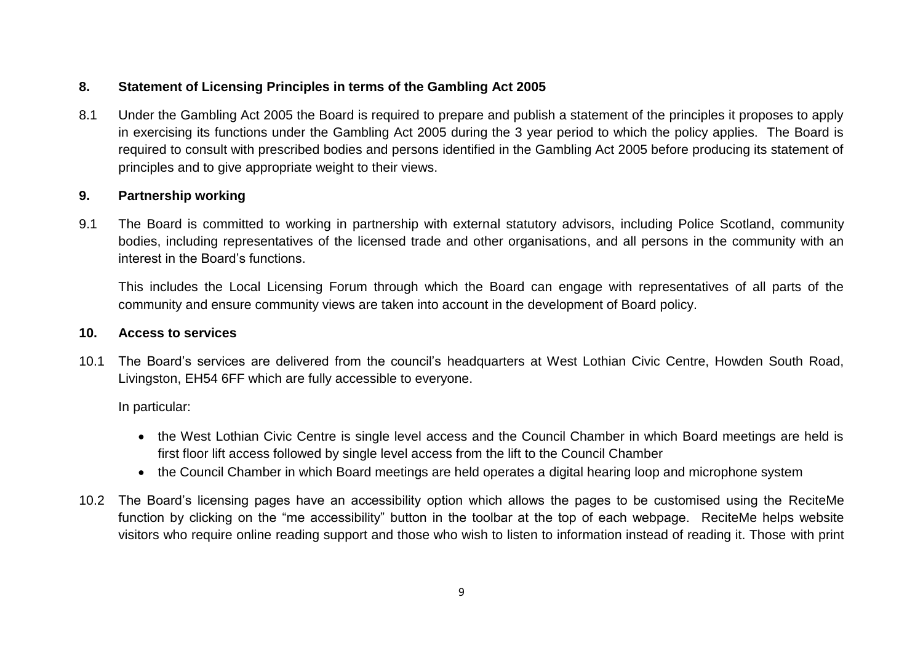# **8. Statement of Licensing Principles in terms of the Gambling Act 2005**

8.1 Under the Gambling Act 2005 the Board is required to prepare and publish a statement of the principles it proposes to apply in exercising its functions under the Gambling Act 2005 during the 3 year period to which the policy applies. The Board is required to consult with prescribed bodies and persons identified in the Gambling Act 2005 before producing its statement of principles and to give appropriate weight to their views.

# **9. Partnership working**

9.1 The Board is committed to working in partnership with external statutory advisors, including Police Scotland, community bodies, including representatives of the licensed trade and other organisations, and all persons in the community with an interest in the Board's functions.

This includes the Local Licensing Forum through which the Board can engage with representatives of all parts of the community and ensure community views are taken into account in the development of Board policy.

#### **10. Access to services**

10.1 The Board's services are delivered from the council's headquarters at West Lothian Civic Centre, Howden South Road, Livingston, EH54 6FF which are fully accessible to everyone.

In particular:

- the West Lothian Civic Centre is single level access and the Council Chamber in which Board meetings are held is first floor lift access followed by single level access from the lift to the Council Chamber
- the Council Chamber in which Board meetings are held operates a digital hearing loop and microphone system
- 10.2 The Board's licensing pages have an accessibility option which allows the pages to be customised using the ReciteMe function by clicking on the "me accessibility" button in the toolbar at the top of each webpage. ReciteMe helps website visitors who require online reading support and those who wish to listen to information instead of reading it. Those with print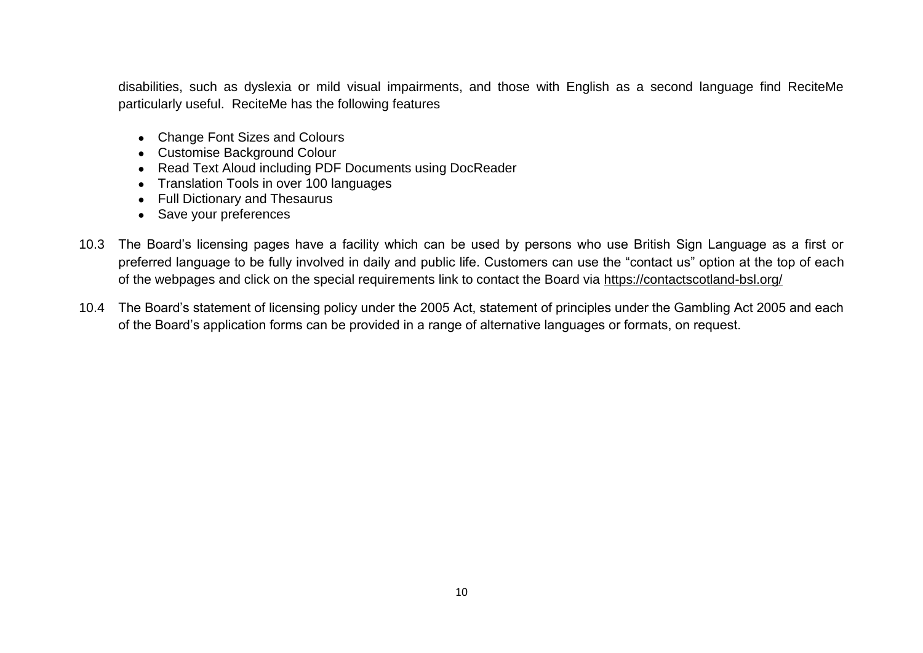disabilities, such as dyslexia or mild visual impairments, and those with English as a second language find ReciteMe particularly useful. ReciteMe has the following features

- Change Font Sizes and Colours
- Customise Background Colour
- Read Text Aloud including PDF Documents using DocReader
- Translation Tools in over 100 languages
- Full Dictionary and Thesaurus
- Save your preferences
- 10.3 The Board's licensing pages have a facility which can be used by persons who use British Sign Language as a first or preferred language to be fully involved in daily and public life. Customers can use the "contact us" option at the top of each of the webpages and click on the special requirements link to contact the Board via<https://contactscotland-bsl.org/>
- 10.4 The Board's statement of licensing policy under the 2005 Act, statement of principles under the Gambling Act 2005 and each of the Board's application forms can be provided in a range of alternative languages or formats, on request.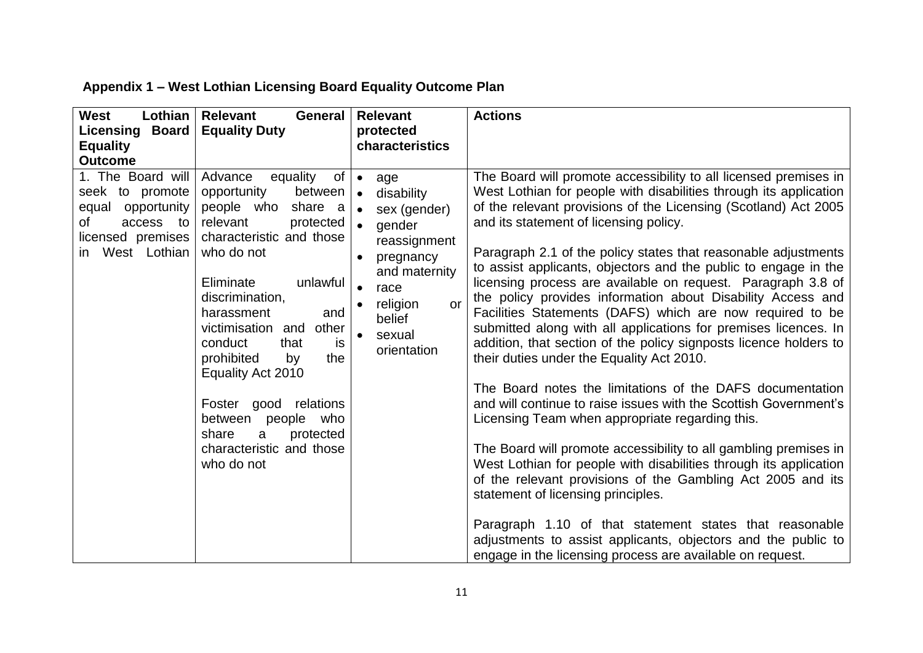| <b>West</b><br><b>Lothian</b><br><b>Licensing Board</b><br><b>Equality</b><br><b>Outcome</b>                             | <b>Relevant</b><br><b>General</b><br><b>Equality Duty</b>                                                                                                                                                                                                                                                                                                                                                                                | <b>Relevant</b><br>protected<br>characteristics                                                                                                                                         | <b>Actions</b>                                                                                                                                                                                                                                                                                                                                                                                                                                                                                                                                                                                                                                                                                                                                                                                                                                                                                                                                                                                                                                                                                                                                                                                                                                                                                                                                                                                      |
|--------------------------------------------------------------------------------------------------------------------------|------------------------------------------------------------------------------------------------------------------------------------------------------------------------------------------------------------------------------------------------------------------------------------------------------------------------------------------------------------------------------------------------------------------------------------------|-----------------------------------------------------------------------------------------------------------------------------------------------------------------------------------------|-----------------------------------------------------------------------------------------------------------------------------------------------------------------------------------------------------------------------------------------------------------------------------------------------------------------------------------------------------------------------------------------------------------------------------------------------------------------------------------------------------------------------------------------------------------------------------------------------------------------------------------------------------------------------------------------------------------------------------------------------------------------------------------------------------------------------------------------------------------------------------------------------------------------------------------------------------------------------------------------------------------------------------------------------------------------------------------------------------------------------------------------------------------------------------------------------------------------------------------------------------------------------------------------------------------------------------------------------------------------------------------------------------|
| 1. The Board will<br>seek to promote<br>equal opportunity<br>of<br>access to<br>licensed premises<br>West Lothian<br>in. | Advance equality<br>of<br>opportunity<br>between<br>people who share a<br>relevant<br>protected<br>characteristic and those<br>who do not<br>unlawful<br>Eliminate<br>discrimination,<br>harassment<br>and<br>victimisation and<br>other<br>conduct<br>that<br>is<br>prohibited<br>by<br>the<br>Equality Act 2010<br>relations<br>Foster good<br>between people who<br>share<br>protected<br>a<br>characteristic and those<br>who do not | age<br>$\bullet$<br>disability<br>sex (gender)<br>gender<br>reassignment<br>pregnancy<br>and maternity<br>race<br>religion<br><b>or</b><br>$\bullet$<br>belief<br>sexual<br>orientation | The Board will promote accessibility to all licensed premises in<br>West Lothian for people with disabilities through its application<br>of the relevant provisions of the Licensing (Scotland) Act 2005<br>and its statement of licensing policy.<br>Paragraph 2.1 of the policy states that reasonable adjustments<br>to assist applicants, objectors and the public to engage in the<br>licensing process are available on request. Paragraph 3.8 of<br>the policy provides information about Disability Access and<br>Facilities Statements (DAFS) which are now required to be<br>submitted along with all applications for premises licences. In<br>addition, that section of the policy signposts licence holders to<br>their duties under the Equality Act 2010.<br>The Board notes the limitations of the DAFS documentation<br>and will continue to raise issues with the Scottish Government's<br>Licensing Team when appropriate regarding this.<br>The Board will promote accessibility to all gambling premises in<br>West Lothian for people with disabilities through its application<br>of the relevant provisions of the Gambling Act 2005 and its<br>statement of licensing principles.<br>Paragraph 1.10 of that statement states that reasonable<br>adjustments to assist applicants, objectors and the public to<br>engage in the licensing process are available on request. |

# **Appendix 1 – West Lothian Licensing Board Equality Outcome Plan**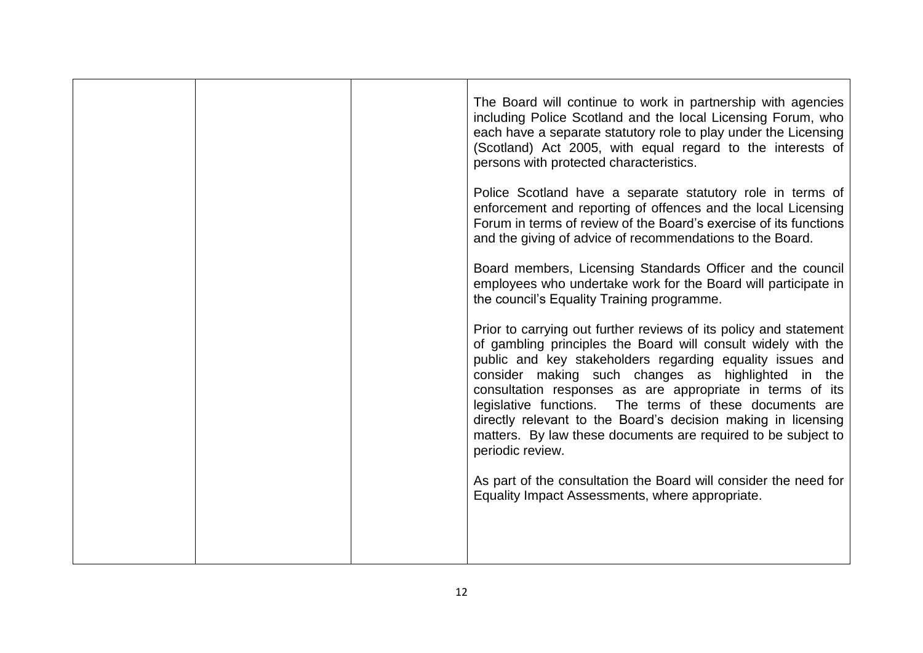|  | The Board will continue to work in partnership with agencies<br>including Police Scotland and the local Licensing Forum, who<br>each have a separate statutory role to play under the Licensing<br>(Scotland) Act 2005, with equal regard to the interests of<br>persons with protected characteristics.                                                                                                                                                                                                                            |
|--|-------------------------------------------------------------------------------------------------------------------------------------------------------------------------------------------------------------------------------------------------------------------------------------------------------------------------------------------------------------------------------------------------------------------------------------------------------------------------------------------------------------------------------------|
|  | Police Scotland have a separate statutory role in terms of<br>enforcement and reporting of offences and the local Licensing<br>Forum in terms of review of the Board's exercise of its functions<br>and the giving of advice of recommendations to the Board.                                                                                                                                                                                                                                                                       |
|  | Board members, Licensing Standards Officer and the council<br>employees who undertake work for the Board will participate in<br>the council's Equality Training programme.                                                                                                                                                                                                                                                                                                                                                          |
|  | Prior to carrying out further reviews of its policy and statement<br>of gambling principles the Board will consult widely with the<br>public and key stakeholders regarding equality issues and<br>consider making such changes as highlighted in the<br>consultation responses as are appropriate in terms of its<br>legislative functions. The terms of these documents are<br>directly relevant to the Board's decision making in licensing<br>matters. By law these documents are required to be subject to<br>periodic review. |
|  | As part of the consultation the Board will consider the need for<br>Equality Impact Assessments, where appropriate.                                                                                                                                                                                                                                                                                                                                                                                                                 |
|  |                                                                                                                                                                                                                                                                                                                                                                                                                                                                                                                                     |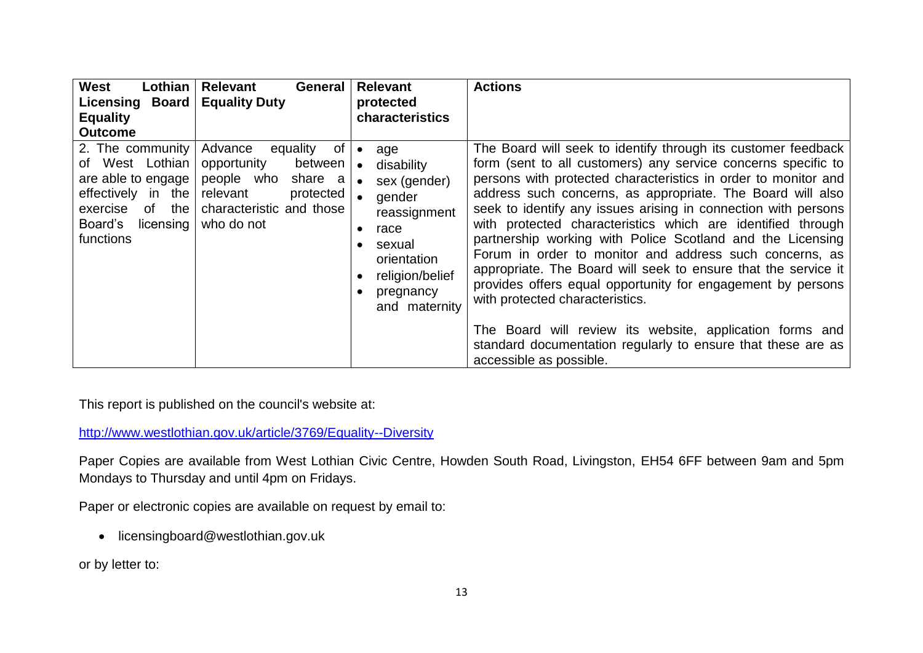| <b>West</b><br>Lothian<br>Licensing Board<br><b>Equality</b><br><b>Outcome</b>                                                                  | <b>Relevant</b><br>General  <br><b>Equality Duty</b>                                                                                         | <b>Relevant</b><br>protected<br>characteristics                                                                                                                         | <b>Actions</b>                                                                                                                                                                                                                                                                                                                                                                                                                                                                                                                                                                                                                                                                                                                                                                                                                                      |
|-------------------------------------------------------------------------------------------------------------------------------------------------|----------------------------------------------------------------------------------------------------------------------------------------------|-------------------------------------------------------------------------------------------------------------------------------------------------------------------------|-----------------------------------------------------------------------------------------------------------------------------------------------------------------------------------------------------------------------------------------------------------------------------------------------------------------------------------------------------------------------------------------------------------------------------------------------------------------------------------------------------------------------------------------------------------------------------------------------------------------------------------------------------------------------------------------------------------------------------------------------------------------------------------------------------------------------------------------------------|
| 2. The community<br>of West Lothian<br>are able to engage  <br>effectively in the<br>of<br>the<br>exercise<br>Board's<br>licensing<br>functions | Advance<br>equality<br>0f<br>between<br>opportunity<br>people who share a<br>relevant<br>protected<br>characteristic and those<br>who do not | age<br>$\bullet$<br>disability<br>$\bullet$<br>sex (gender)<br>gender<br>reassignment<br>race<br>sexual<br>orientation<br>religion/belief<br>pregnancy<br>and maternity | The Board will seek to identify through its customer feedback<br>form (sent to all customers) any service concerns specific to<br>persons with protected characteristics in order to monitor and<br>address such concerns, as appropriate. The Board will also<br>seek to identify any issues arising in connection with persons<br>with protected characteristics which are identified through<br>partnership working with Police Scotland and the Licensing<br>Forum in order to monitor and address such concerns, as<br>appropriate. The Board will seek to ensure that the service it<br>provides offers equal opportunity for engagement by persons<br>with protected characteristics.<br>The Board will review its website, application forms and<br>standard documentation regularly to ensure that these are as<br>accessible as possible. |

This report is published on the council's website at:

<http://www.westlothian.gov.uk/article/3769/Equality--Diversity>

Paper Copies are available from West Lothian Civic Centre, Howden South Road, Livingston, EH54 6FF between 9am and 5pm Mondays to Thursday and until 4pm on Fridays.

Paper or electronic copies are available on request by email to:

• licensingboard@westlothian.gov.uk

or by letter to: